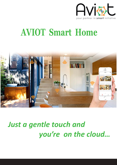

# **AVIOT Smart Home**



# *Just a gentle touch and you're on the cloud…*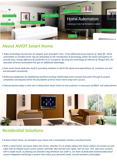

## **About AVIOT Smart Home**

- *•Today technology has become an integral part of people's lives. It has influenced many aspects of daily life. Home*  automation or sensible home may be delineated as the introduction of technology within the home atmosphere to provide ease, Energy efficiency & protection to its occupants. By using the technology of internet of Things(IOT), the *execution of home automation has got an additional advantage.*
- Aviot smart home dedicates itself to providing solutions in which the needs and expectations of customers are met  *and exceeded consistently.*
- Achieving satisfaction by establishing excellent working relationships from concept discussion through to project *completion and beyond will be the foundation of Aviot Smart Home long-term success.*
- Channel partner plays a vital role in taking Aviot Smart Home to end customer in every part of INDIA and subcontinent.



## **Residential Solutions**

- At Aviot Smart Home, we transform your house into a automated, intuitive, functional home.
- With a smart home, the house takes care of you. Whether it's to simply replace the messy clutters of remotes on your  *table with an elegant touch-screen master controller that will dim your lights, turn on your A/C, open your curtains with a single touch, to playing your favorite song whenever you walk in, our team of dedicated trained professional*  system integrators will design a system that meets your personal needs, overall aesthetics and budget.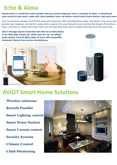## **Echo & Alexa**

**Amazon Echo is a hands-free smart speaker that you control using your voice. It connects to Alexa –a cloud based voice service to play music, make calls, check weather, news, set alarms, control smart home devices, and much more.**

Echo has powerful speakers that fill the room with immersive 360° omnidirectional audio, and deliver crisp vocals and dynamic bass response. Just ask for a song, artist, or genre from your favourite music services like Amazon Prime Music, Saavn, and Tune In. Using multi-room music, you can even play music across multiple Echo devices at the same time.

**Call or message anyone hands-free who also has an Echo device or the Alexa App. Simply ask "Alexa, how do I set up calling?"**  to get started. Controls lights, plugs, & more with compatible **Connected devices from various manufactures.**





## **AVIOT Smart Home Solutions**

- Wireless solutions:
- Retrofit Possible
- Smart Lighting control
- Smart Power Sockets
- Smart Curtain control
- Security Systems
- Climate Control
- Child Monitoring

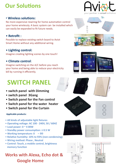## **Our Solutions**

### • Wireless solutions:

No more expensive rewiring for home automation control your home wirelessly. A basic system can be installed which can easily be expanded to fit future needs.

### • **Retrofit :**

Possible to replace existing switch board to Aviot Smart Home without any additional wiring.

### • Lighting control:

Imagine creating lighting scenes by one touch!

### • **Climate control**:

Imagine switching on the A/C before you reach your home and being able to reduce your electricity bill by running it efficiently.

## **SWITCH PANEL**

- **switch panel with Dimming**
- **switch panel 3Gang**
- **Switch panel for the Fan control**
- **Switch panel for the water heater**
- **Switch panel for the Curtain**

#### **Applicable products:**

- **All kinds of adjustable light fixtures**
- **Operang voltage: AC 100 240V, 50 / 60HZ**
- **Load power: 0 ~ 4 00W**
- **Standby power consumpon: ≤ 0.5 W**
- Working temperature: 0  $\sim 80$
- **Relative humidity: 10% to 93% (non-condensing)**
- **Wiring method: Phase , Neutral**
- **Control: Touch, a mobile control, brightness memory function**

## **Works with Alexa, Echo dot & Google Home**

















000







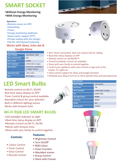## **SMART SOCKET**

#### • **Without Energy Monitoring**

#### •**With Energy Monitoring**

#### **Applications:**

- **Remote access via APP;**
- •**Scheduling;**
- •**Timer;**
- •**Energy monitoring /optional;**
- •**Away mode; support iFTTT,**
- •**Private tooling with slim design;**
- •**Full-PC, V0 Fireproof materials;**

#### **Works with Alexa, Echo dot &**

#### **Google Home**

| <b>Specification</b>     |                                              |
|--------------------------|----------------------------------------------|
| <b>Input Voltage</b>     | 100-240VAC 50HZ                              |
| <b>Max. Current Load</b> | 10A                                          |
| <b>Max. Power</b>        | 2200W                                        |
| <b>Wi-Fi Standard</b>    | 2.4GHz 802.11 $b/g/n$                        |
| <b>App Support</b>       | Android 4.1 and IOS 8.0<br>or Higher Version |
| <b>Operating Temp</b>    | $-10^{\circ}$ C $\sim$ +50 $^{\circ}$ C      |
| <b>Size</b>              | $50*47.8mm$                                  |



- Wi-Fi direct connection, does not require hub for setting.
- Real-time status displays on APP
- •Remote control via 3G/4G/Wi-Fi
- •Timer/Countdown control are available
- •Share with your family to control together
- •Control your appliance with voice control or app such as fan, heater, TV, Lights etc
- •Voice control support for Alexa and Google Assistant
- Schedule your plug to turn on or off at specific time and save electricity

## **LED Smart Bulbs**

- · Remote control via Wi-Fi, 3G/4G
- $\cdot$  Real time status display on APP
- · Timer Control & group control available
- $\cdot$  Abundant colours for your selection
- · Built-in different lighting scenes
- · Works with Amazon Echo

## **Wi-Fi RGB LED SMART BULBS**

- LED backlight indicator at night
- Real-time status display on APP
- •Remote Control via Wi-Fi, 3G/4G
- •Works with Amazon Echo
- •Share with your family to control together

 **Controls:** 

#### **Features:**

- Brightness Control
- •Turn On/Off •RGB Colour
- Colour Control •Timer Control
- 
- •Voice Control
- •Remote Control
- Timer Function
- •Abundant scenes
- •Group Control
- •Share with Friends





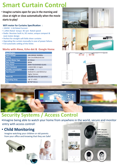## **Smart Curtain Control**

• **Imagine curtains open for you in the morning and** close at night or close automatically when the movie  **starts to play!**

#### **WiFi motor for Curtains Specification :**

- **24VDC 1.3A Rated Current**
- **1.2Nm Rated torque 85 rpm Rated speed**
- **Radio Receiver built in, DC motor, unique compact & neat motor design**
- Perfect for straight soft folds sheer curtains
- Operating the curtain manually in case of power failure.
- Full automatic setting of the limits

### **Works with Alexa, Echo dot & Google Home**

| <b>Specification</b>       |                             |
|----------------------------|-----------------------------|
| <b>Input Voltage</b>       | 100-240VAC 50/60Hz          |
| <b>Wiring</b>              | Live Line & Neutral Line    |
| <b>Curtain Motor Type</b>  | <b>AC Motor</b>             |
| <b>Max. Power</b>          | 800W                        |
| <b>Glass Panel</b>         | <b>3MM TOUGHENED GLASS</b>  |
| <b>Wi-Fi Standard</b>      | 2.4GHZ 802.11 b/g/n         |
| <b>Standby consumption</b> | $= 0.5W$                    |
| <b>App Support</b>         | Android 4.1 and IOS 8.0 or  |
|                            | <b>Higher Version</b>       |
| <b>Work Life</b>           | 100,000 times for operation |
| <b>Operating Temp</b>      | $-30 °C$ <sup>~</sup> +70°C |
| <b>Size</b>                | 86*86*34mm                  |







## **Security Systems / Access Control**

• Imagine being able to watch your home from anywhere in the world, secure and monitor entry with access control!

## • **Child Monitoring**

 Imagine watching your children or old parents from your office and knowing that they are Safe!







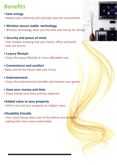## **Benefits**

### • **Save energy**

–Reduce your electricity bill and help save the environment.

### • **Wireless secure stable technology**

– Wireless technology saves you the time and money for wiring.

### • **Security and peace of mind**

–Feel relaxed, knowing that your home, office and loved ones are secure.

#### • **Luxury lifestyle**

–Enjoy the luxury lifestyle at a very affordable cost.

#### • **Convenience and comfort**

– Relax and let the house take care of you.

#### • **Entertainment**

–Enjoy the entertainment benefits and impress your guests.

#### • Save your money and time

 $-$  Enjoy having more time and less expenses

#### • **Added value to your property**

–Sell or rent out your property at a higher value.

### • **Disability friendly**

–Your smart house takes care of the elderly and disabled, making their lives more comfortable.